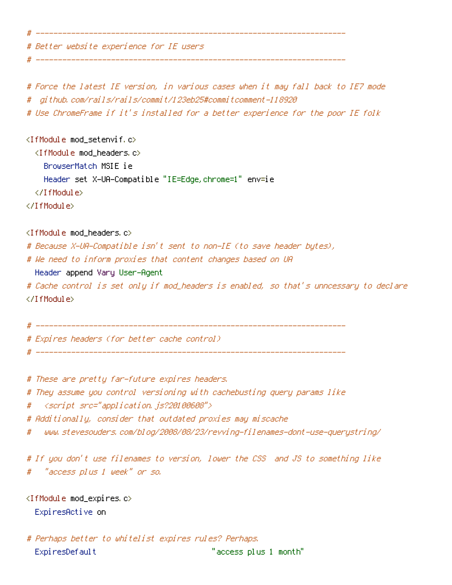# Better website experience for IE users

# Force the latest IE version, in various cases when it may fall back to IE7 mode # github.com/rails/rails/commit/123eb25#commitcomment-118920

# ----------------------------------------------------------------------

# Use ChromeFrame if it's installed for <sup>a</sup> better experience for the poor IE folk

<IfModule mod\_setenvif.c> <IfModule mod\_headers.c> BrowserMatch MSIE ie

Header set X-UA-Compatible "IE=Edge,chrome=1" env=ie

</IfModule>

# ----------------------------------------------------------------------

</IfModule>

<IfModule mod\_headers.c>

# Because X-UA-Compatible isn't sent to non-IE (to save header bytes),

# We need to inform proxies that content changes based on UA

Header append Vary User-Agent

# Cache control is set only if mod\_headers is enabled, so that's unncessary to declare </IfModule>

# ----------------------------------------------------------------------

# ----------------------------------------------------------------------

# Expires headers (for better cache control)

# These are pretty far-future expires headers.

# They assume you control versioning with cachebusting query params like

# <script src="application.js?20100608">

# Additionally, consider that outdated proxies may miscache

# www.stevesouders.com/blog/2008/08/23/revving-filenames-dont-use-querystring/

# If you don't use filenames to version, lower the CSS and JS to something like # "access plus 1 week" or so.

<IfModule mod\_expires.c> ExpiresActive on

# Perhaps better to whitelist expires rules? Perhaps. ExpiresDefault "access plus 1 month"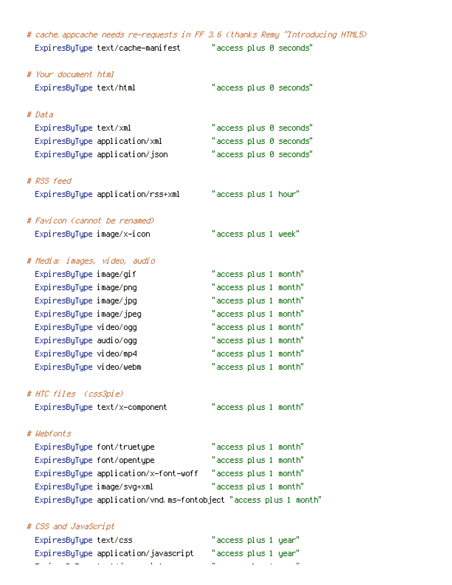| # cache appcache needs re-requests in FF 3.6 (thanks Remy "Introducing HTML5) |                         |
|-------------------------------------------------------------------------------|-------------------------|
| ExpiresByType text/cache—manifest                                             | "access plus 0 seconds" |
|                                                                               |                         |
| # Your document html                                                          |                         |
| ExpiresByType text/html                                                       | "access plus 0 seconds" |
|                                                                               |                         |
| # Data                                                                        |                         |
| ExpiresByType text/xml                                                        | "access plus 0 seconds" |
| ExpiresByType application/xml                                                 | "access plus 0 seconds" |
| ExpiresByType application/json                                                | "access plus 0 seconds" |
|                                                                               |                         |
| # RSS feed                                                                    |                         |
| ExpiresByType application/rss+xml                                             | "access plus 1 hour"    |
|                                                                               |                         |
| # Favicon (cannot be renamed)                                                 |                         |
| ExpiresByType image/x-icon                                                    | "access plus 1 week"    |
|                                                                               |                         |
| # Media: images, video, audio                                                 |                         |
| ExpiresByType image/gif                                                       | "access plus 1 month"   |
| ExpiresByType image/png                                                       | "access plus 1 month"   |
| ExpiresByType image/jpg                                                       | "access plus 1 month"   |
| ExpiresByType image/jpeg                                                      | "access plus 1 month"   |
| ExpiresByType video/ogg                                                       | "access plus 1 month"   |
| Expi resByType audio/ogg                                                      | "access plus 1 month"   |
| ExpiresByType video/mp4                                                       | "access plus 1 month"   |
| ExpiresByType video/webm                                                      | "access plus 1 month"   |
|                                                                               |                         |
| # HTC files (css3pie)                                                         |                         |
| ExpiresByType text/x-component                                                | "access plus 1 month"   |
|                                                                               |                         |
| # Webfonts                                                                    |                         |
| ExpiresByType font/truetype                                                   | "access plus 1 month"   |
| ExpiresByType font/opentype                                                   | "access plus 1 month"   |
| ExpiresByType application/x-font-woff                                         | "access plus 1 month"   |
| ExpiresByType image/svg+xml                                                   | "access plus 1 month"   |
| ExpiresByType application/vnd.ms-fontobject "access plus 1 month"             |                         |
|                                                                               |                         |
| # CSS and JavaScript                                                          |                         |
| ExpiresByType text/css                                                        | "access plus 1 year"    |

ExpiresByType application/javascript "access plus 1 year" ExpiresByType text/javascript "access plus 1 year"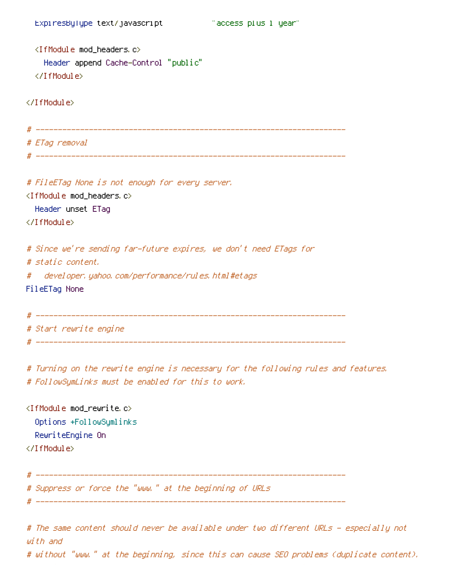```
<IfModule mod_headers.c>
  Header append Cache-Control "public"
</IfModule>
```
</IfModule>

```
# ----------------------------------------------------------------------
# ETag removal
# ----------------------------------------------------------------------
```

```
# FileETag None is not enough for every server.
<IfModule mod_headers.c>
  Header unset ETag
</IfModule>
# Since we're sending far-future expires, we don't need ETags for
# static content.
# developer.yahoo.com/performance/rules.html#etags
FileETag None
```
# ---------------------------------------------------------------------- # Start rewrite engine # ----------------------------------------------------------------------

# Turning on the rewrite engine is necessary for the following rules and features. # FollowSymLinks must be enabled for this to work.

<IfModule mod\_rewrite.c> Options +FollowSymlinks RewriteEngine On </IfModule> # ---------------------------------------------------------------------- # Suppress or force the "www." at the beginning of URLs

# ----------------------------------------------------------------------

# The same content should never be available under two different URLs - especially not with and # without "www." at the beginning, since this can cause SEO problems (duplicate content).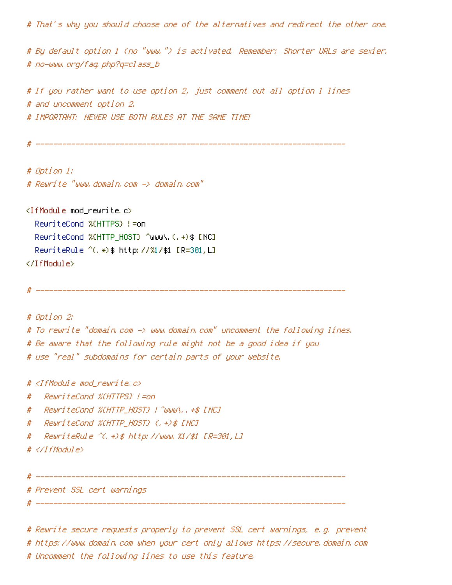# That's why you should choose one of the alternatives and redirect the other one.

# By default option 1 (no "www.") is activated. Remember: Shorter URLs are sexier. # no-www.org/faq.php?q=class\_b

# If you rather want to use option 2, just comment out all option 1 lines # and uncomment option 2. # IMPORTANT: NEVER USE BOTH RULES AT THE SAME TIME!

# ----------------------------------------------------------------------

# Option 1: # Rewrite "www.domain.com -> domain.com"

 $\langle$ IfModule mod rewrite.c $\rangle$ RewriteCond %{HTTPS} !=on RewriteCond %(HTTP\_HOST) ^www\.(.+)\$ [NC] RewriteRule ^(.\*)\$ http://%1/\$1 [R=301,L] </IfModule>

# ----------------------------------------------------------------------

# Option 2: # To rewrite "domain.com -> www.domain.com" uncomment the following lines. # Be aware that the following rule might not be <sup>a</sup> good idea if you # use "real" subdomains for certain parts of your website.

#  $\triangleleft$  fModule mod rewrite.c>

# RewriteCond %{HTTPS} !=on

- # RewriteCond %{HTTP\_HOST} !^www\..+\$ [NC]
- # RewriteCond %{HTTP\_HOST} (.+)\$ [NC]
- # RewriteRule ^(.\*)\$ http://www.%1/\$1 [R=301,L]

# </IfModule>

# ----------------------------------------------------------------------

# ----------------------------------------------------------------------

# Prevent SSL cert warnings

# Rewrite secure requests properly to prevent SSL cert warnings, e.g. prevent # https://www.domain.com when your cert only allows https://secure.domain.com # Uncomment the following lines to use this feature.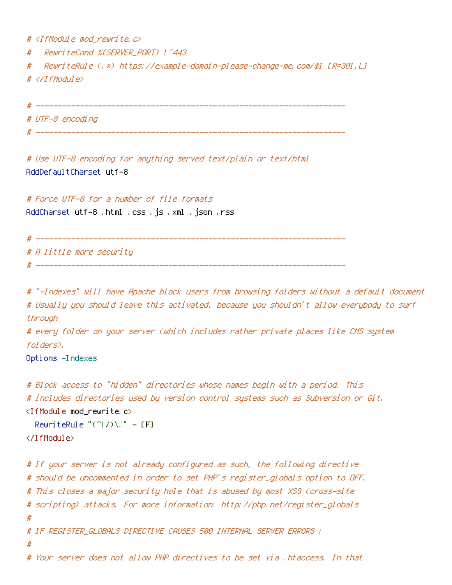# <IfModule mod\_rewrite.c>

# RewriteCond %{SERVER\_PORT} !^443

# RewriteRule (.\*) https://example-domain-please-change-me.com/\$1 [R=301,L]

# </IfModule>

# ----------------------------------------------------------------------

# UTF-8 encoding

# ----------------------------------------------------------------------

# Use UTF-8 encoding for anything served text/plain or text/html AddDefaultCharset utf-8

# Force UTF-8 for <sup>a</sup> number of file formats AddCharset utf-8 .html .css .js .xml .json .rss

# ----------------------------------------------------------------------

# A little more security

# ----------------------------------------------------------------------

# "-Indexes" will have Apache block users from browsing folders without <sup>a</sup> default document # Usually you should leave this activated, because you shouldn't allow everybody to surf through # every folder on your server (which includes rather private places like CMS system folders). Options -Indexes

# Block access to "hidden" directories whose names begin with <sup>a</sup> period. This # includes directories used by version control systems such as Subversion or Git.  $\langle$ IfModule mod rewrite.c $\rangle$ RewriteRule " $(^\circ\!\!\!\!\!\uparrow\!/\,) \setminus \ldots$ " - [F] </IfModule> # If your server is not already configured as such, the following directive # should be uncommented in order to set PHP's register\_globals option to OFF. # This closes <sup>a</sup> major security hole that is abused by most XSS (cross-site # scripting) attacks. For more information: http://php.net/register\_globals # # IF REGISTER\_GLOBALS DIRECTIVE CAUSES 500 INTERNAL SERVER ERRORS : # # Your server does not allow PHP directives to be set via .htaccess. In that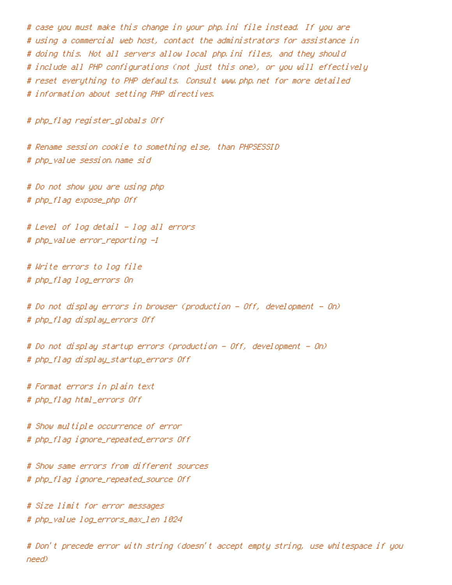# case you must make this change in your php.ini file instead. If you are # using <sup>a</sup> commercial web host, contact the administrators for assistance in # doing this. Not all servers allow local php.ini files, and they should # include all PHP configurations (not just this one), or you will effectively # reset everything to PHP defaults. Consult www.php.net for more detailed # information about setting PHP directives.

# php\_flag register\_globals Off

# Rename session cookie to something else, than PHPSESSID # php\_value session.name sid

# Do not show you are using php # php\_flag expose\_php Off

# Level of log detail - log all errors # php\_value error\_reporting -1

# Write errors to log file # php\_flag log\_errors On

# Do not display errors in browser (production - Off, development - On) # php\_flag display\_errors Off

# Do not display startup errors (production - Off, development - On) # php\_flag display\_startup\_errors Off

# Format errors in plain text # php\_flag html\_errors Off

# Show multiple occurrence of error # php\_flag ignore\_repeated\_errors Off

# Show same errors from different sources # php\_flag ignore\_repeated\_source Off

# Size limit for error messages # php\_value log\_errors\_max\_len 1024

# Don't precede error with string (doesn't accept empty string, use whitespace if you need)